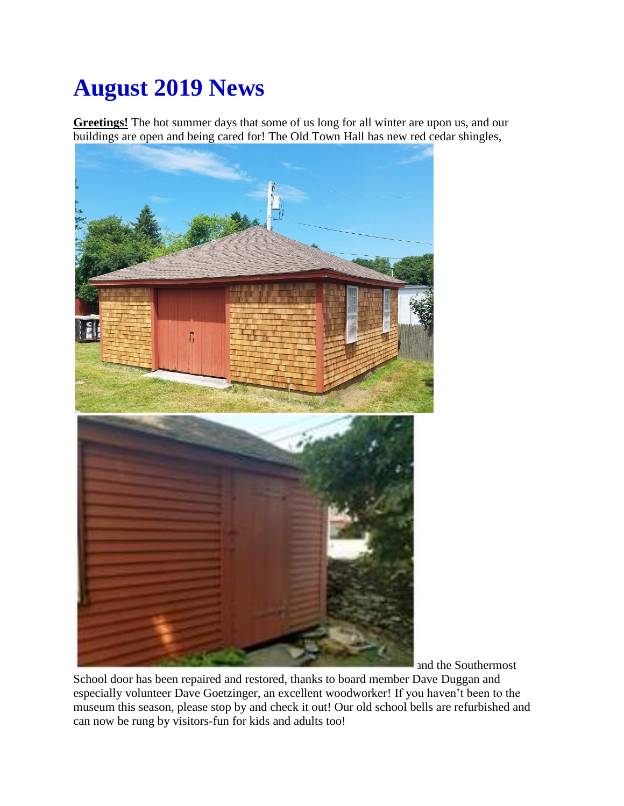## **August 2019 News**

**Greetings!** The hot summer days that some of us long for all winter are upon us, and our buildings are open and being cared for! The Old Town Hall has new red cedar shingles,



and the Southermost

School door has been repaired and restored, thanks to board member Dave Duggan and especially volunteer Dave Goetzinger, an excellent woodworker! If you haven't been to the museum this season, please stop by and check it out! Our old school bells are refurbished and can now be rung by visitors-fun for kids and adults too!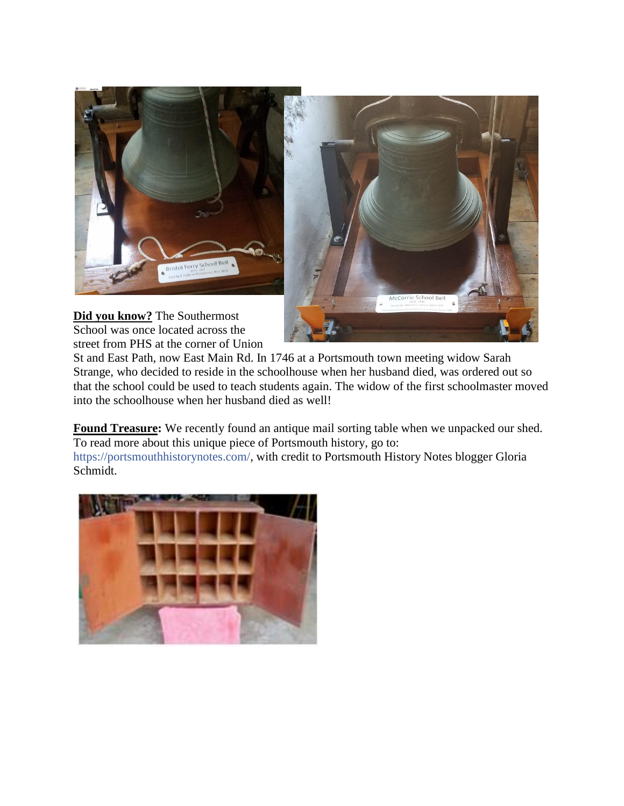



**Did you know?** The Southermost School was once located across the street from PHS at the corner of Union

St and East Path, now East Main Rd. In 1746 at a Portsmouth town meeting widow Sarah Strange, who decided to reside in the schoolhouse when her husband died, was ordered out so that the school could be used to teach students again. The widow of the first schoolmaster moved into the schoolhouse when her husband died as well!

**Found Treasure:** We recently found an antique mail sorting table when we unpacked our shed. To read more about this unique piece of Portsmouth history, go to:

https://portsmouthhistorynotes.com/, with credit to Portsmouth History Notes blogger Gloria Schmidt.

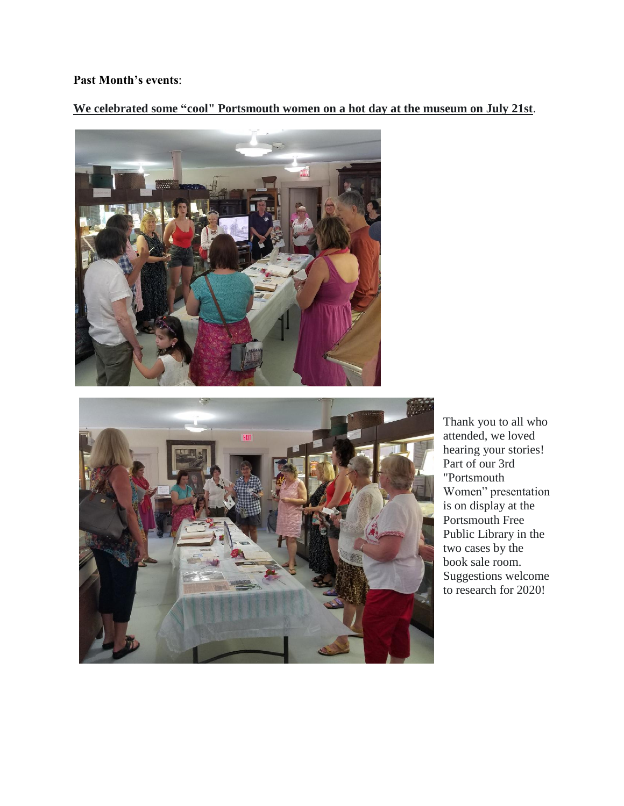## **Past Month's events**:

**We celebrated some "cool" Portsmouth women on a hot day at the museum on July 21st**.





Thank you to all who attended, we loved hearing your stories! Part of our 3rd "Portsmouth Women" presentation is on display at the Portsmouth Free Public Library in the two cases by the book sale room. Suggestions welcome to research for 2020!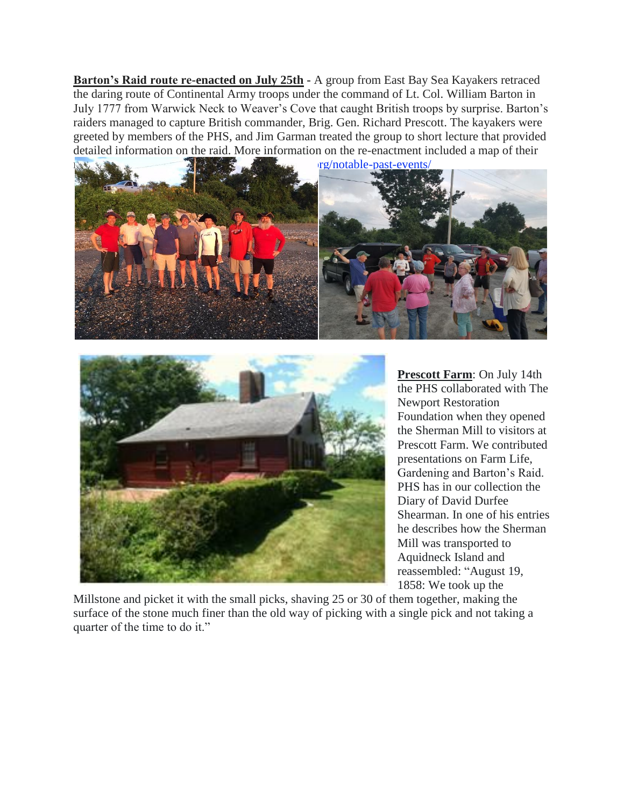**Barton's Raid route re-enacted on July 25th -** A group from East Bay Sea Kayakers retraced the daring route of Continental Army troops under the command of Lt. Col. William Barton in July 1777 from Warwick Neck to Weaver's Cove that caught British troops by surprise. Barton's raiders managed to capture British commander, Brig. Gen. Richard Prescott. The kayakers were greeted by members of the PHS, and Jim Garman treated the group to short lecture that provided detailed information on the raid. More information on the re-enactment included a map of their





**Prescott Farm**: On July 14th the PHS collaborated with The Newport Restoration Foundation when they opened the Sherman Mill to visitors at Prescott Farm. We contributed presentations on Farm Life, Gardening and Barton's Raid. PHS has in our collection the Diary of David Durfee Shearman. In one of his entries he describes how the Sherman Mill was transported to Aquidneck Island and reassembled: "August 19, 1858: We took up the

Millstone and picket it with the small picks, shaving 25 or 30 of them together, making the surface of the stone much finer than the old way of picking with a single pick and not taking a quarter of the time to do it."